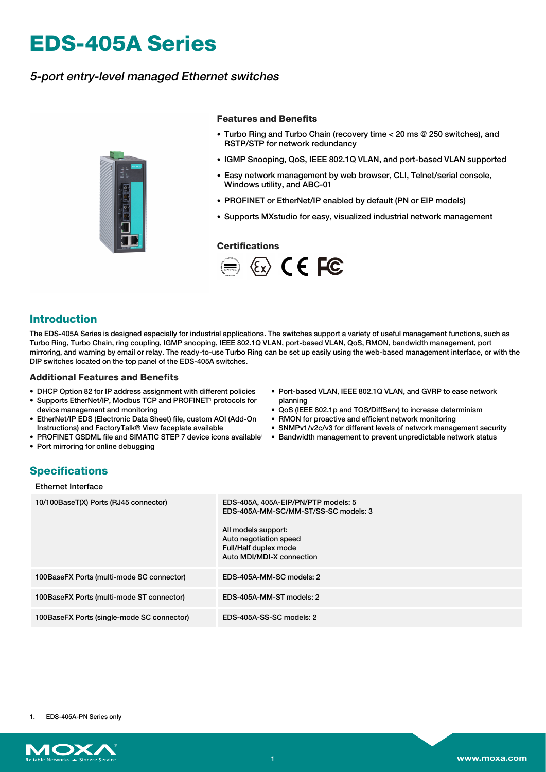# **EDS-405A Series**

## 5-port entry-level managed Ethernet switches



#### **Features and Benefits**

- Turbo Ring and Turbo Chain (recovery time < 20 ms @ 250 switches), and RSTP/STP for network redundancy
- IGMP Snooping, QoS, IEEE 802.1Q VLAN, and port-based VLAN supported
- Easy network management by web browser, CLI, Telnet/serial console, Windows utility, and ABC-01
- PROFINET or EtherNet/IP enabled by default (PN or EIP models)
- Supports MXstudio for easy, visualized industrial network management

#### **Certifications**



### **Introduction**

The EDS-405A Series is designed especially for industrial applications. The switches support a variety of useful management functions, such as Turbo Ring, Turbo Chain, ring coupling, IGMP snooping, IEEE 802.1Q VLAN, port-based VLAN, QoS, RMON, bandwidth management, port mirroring, and warning by email or relay. The ready-to-use Turbo Ring can be set up easily using the web-based management interface, or with the DIP switches located on the top panel of the EDS-405A switches.

#### **Additional Features and Benefits**

- DHCP Option 82 for IP address assignment with different policies
- Supports EtherNet/IP, Modbus TCP and PROFINET<sup>1</sup> protocols for device management and monitoring
- EtherNet/IP EDS (Electronic Data Sheet) file, custom AOI (Add-On Instructions) and FactoryTalk® View faceplate available
- PROFINET GSDML file and SIMATIC STEP 7 device icons available<sup>1</sup> Bandwidth management to prevent unpredictable network status
- Port mirroring for online debugging
- Port-based VLAN, IEEE 802.1Q VLAN, and GVRP to ease network planning
- QoS (IEEE 802.1p and TOS/DiffServ) to increase determinism
- RMON for proactive and efficient network monitoring
- SNMPv1/v2c/v3 for different levels of network management security
- 

# **Specifications**

| Ethernet Interface |  |
|--------------------|--|
|--------------------|--|

| 10/100BaseT(X) Ports (RJ45 connector)      | EDS-405A, 405A-EIP/PN/PTP models: 5<br>EDS-405A-MM-SC/MM-ST/SS-SC models: 3<br>All models support:<br>Auto negotiation speed<br>Full/Half duplex mode<br>Auto MDI/MDI-X connection |
|--------------------------------------------|------------------------------------------------------------------------------------------------------------------------------------------------------------------------------------|
| 100BaseFX Ports (multi-mode SC connector)  | EDS-405A-MM-SC models: 2                                                                                                                                                           |
| 100BaseFX Ports (multi-mode ST connector)  | EDS-405A-MM-ST models: 2                                                                                                                                                           |
| 100BaseFX Ports (single-mode SC connector) | EDS-405A-SS-SC models: 2                                                                                                                                                           |

1. EDS-405A-PN Series only

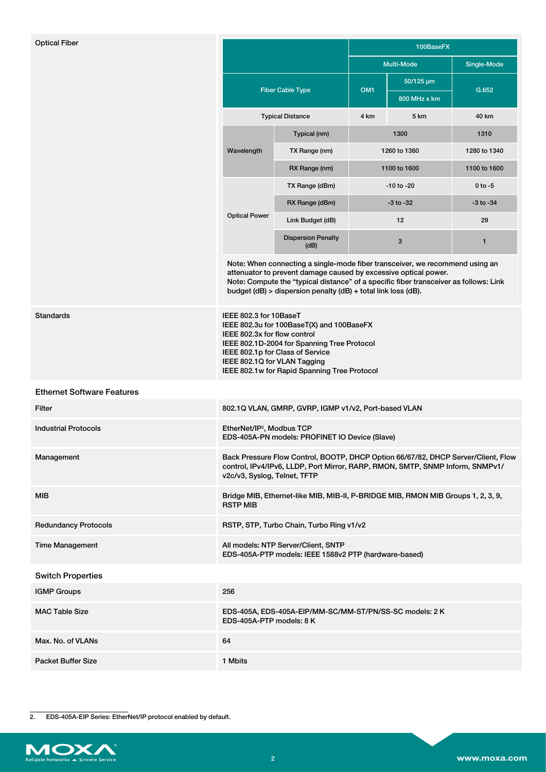| <b>Optical Fiber</b>              | <b>Fiber Cable Type</b><br><b>Typical Distance</b>                                                                                                                                                                                                                                                        |                                                         | 100BaseFX         |                                  |               |  |
|-----------------------------------|-----------------------------------------------------------------------------------------------------------------------------------------------------------------------------------------------------------------------------------------------------------------------------------------------------------|---------------------------------------------------------|-------------------|----------------------------------|---------------|--|
|                                   |                                                                                                                                                                                                                                                                                                           |                                                         | <b>Multi-Mode</b> |                                  | Single-Mode   |  |
|                                   |                                                                                                                                                                                                                                                                                                           |                                                         | OM <sub>1</sub>   | $50/125 \,\mu m$<br>800 MHz x km | G.652         |  |
|                                   |                                                                                                                                                                                                                                                                                                           |                                                         | 4 km              | 5 km                             | 40 km         |  |
|                                   | Wavelength                                                                                                                                                                                                                                                                                                | Typical (nm)                                            | 1300              |                                  | 1310          |  |
|                                   |                                                                                                                                                                                                                                                                                                           | TX Range (nm)                                           | 1260 to 1360      |                                  | 1280 to 1340  |  |
|                                   |                                                                                                                                                                                                                                                                                                           | RX Range (nm)                                           | 1100 to 1600      |                                  | 1100 to 1600  |  |
|                                   |                                                                                                                                                                                                                                                                                                           | TX Range (dBm)                                          | -10 to -20        |                                  | $0$ to $-5$   |  |
|                                   |                                                                                                                                                                                                                                                                                                           | RX Range (dBm)                                          | $-3$ to $-32$     |                                  | $-3$ to $-34$ |  |
|                                   | <b>Optical Power</b>                                                                                                                                                                                                                                                                                      | Link Budget (dB)                                        | 12                |                                  | 29            |  |
|                                   |                                                                                                                                                                                                                                                                                                           | <b>Dispersion Penalty</b><br>(dB)                       | 3                 |                                  | 1             |  |
|                                   | Note: When connecting a single-mode fiber transceiver, we recommend using an<br>attenuator to prevent damage caused by excessive optical power.<br>Note: Compute the "typical distance" of a specific fiber transceiver as follows: Link<br>budget (dB) > dispersion penalty (dB) + total link loss (dB). |                                                         |                   |                                  |               |  |
| Standards                         | IEEE 802.3 for 10BaseT<br>IEEE 802.3u for 100BaseT(X) and 100BaseFX<br>IEEE 802.3x for flow control<br>IEEE 802.1D-2004 for Spanning Tree Protocol<br>IEEE 802.1p for Class of Service<br>IEEE 802.1Q for VLAN Tagging<br>IEEE 802.1w for Rapid Spanning Tree Protocol                                    |                                                         |                   |                                  |               |  |
| <b>Ethernet Software Features</b> |                                                                                                                                                                                                                                                                                                           |                                                         |                   |                                  |               |  |
| Filter                            | 802.1Q VLAN, GMRP, GVRP, IGMP v1/v2, Port-based VLAN                                                                                                                                                                                                                                                      |                                                         |                   |                                  |               |  |
| <b>Industrial Protocols</b>       | EtherNet/IP <sup>2</sup> , Modbus TCP<br>EDS-405A-PN models: PROFINET IO Device (Slave)                                                                                                                                                                                                                   |                                                         |                   |                                  |               |  |
| Management                        | Back Pressure Flow Control, BOOTP, DHCP Option 66/67/82, DHCP Server/Client, Flow<br>control, IPv4/IPv6, LLDP, Port Mirror, RARP, RMON, SMTP, SNMP Inform, SNMPv1/<br>v2c/v3, Syslog, Telnet, TFTP                                                                                                        |                                                         |                   |                                  |               |  |
| MIB                               | Bridge MIB, Ethernet-like MIB, MIB-II, P-BRIDGE MIB, RMON MIB Groups 1, 2, 3, 9,<br><b>RSTP MIB</b>                                                                                                                                                                                                       |                                                         |                   |                                  |               |  |
| <b>Redundancy Protocols</b>       | RSTP, STP, Turbo Chain, Turbo Ring v1/v2                                                                                                                                                                                                                                                                  |                                                         |                   |                                  |               |  |
| <b>Time Management</b>            | All models: NTP Server/Client, SNTP<br>EDS-405A-PTP models: IEEE 1588v2 PTP (hardware-based)                                                                                                                                                                                                              |                                                         |                   |                                  |               |  |
| <b>Switch Properties</b>          |                                                                                                                                                                                                                                                                                                           |                                                         |                   |                                  |               |  |
| IGMP Groups                       | 256                                                                                                                                                                                                                                                                                                       |                                                         |                   |                                  |               |  |
| MAC Table Size                    | EDS-405A-PTP models: 8 K                                                                                                                                                                                                                                                                                  | EDS-405A, EDS-405A-EIP/MM-SC/MM-ST/PN/SS-SC models: 2 K |                   |                                  |               |  |
| Max. No. of VLANs                 | 64                                                                                                                                                                                                                                                                                                        |                                                         |                   |                                  |               |  |
| Packet Buffer Size                | 1 Mbits                                                                                                                                                                                                                                                                                                   |                                                         |                   |                                  |               |  |
|                                   |                                                                                                                                                                                                                                                                                                           |                                                         |                   |                                  |               |  |

2. EDS-405A-EIP Series: EtherNet/IP protocol enabled by default.

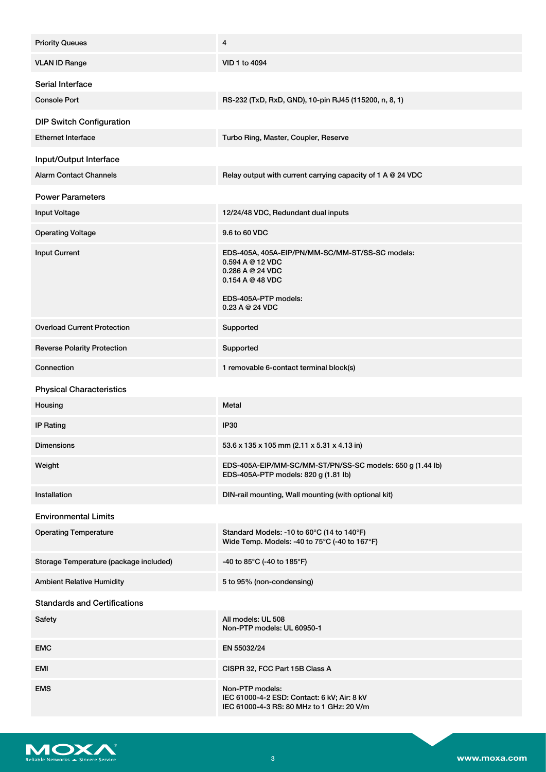| <b>Priority Queues</b>                 | 4                                                                                                                                                  |
|----------------------------------------|----------------------------------------------------------------------------------------------------------------------------------------------------|
| <b>VLAN ID Range</b>                   | VID 1 to 4094                                                                                                                                      |
| Serial Interface                       |                                                                                                                                                    |
| <b>Console Port</b>                    | RS-232 (TxD, RxD, GND), 10-pin RJ45 (115200, n, 8, 1)                                                                                              |
| <b>DIP Switch Configuration</b>        |                                                                                                                                                    |
| <b>Ethernet Interface</b>              | Turbo Ring, Master, Coupler, Reserve                                                                                                               |
| Input/Output Interface                 |                                                                                                                                                    |
| <b>Alarm Contact Channels</b>          | Relay output with current carrying capacity of 1 A @ 24 VDC                                                                                        |
| <b>Power Parameters</b>                |                                                                                                                                                    |
| <b>Input Voltage</b>                   | 12/24/48 VDC, Redundant dual inputs                                                                                                                |
| <b>Operating Voltage</b>               | 9.6 to 60 VDC                                                                                                                                      |
| <b>Input Current</b>                   | EDS-405A, 405A-EIP/PN/MM-SC/MM-ST/SS-SC models:<br>0.594 A @ 12 VDC<br>0.286 A @ 24 VDC<br>0.154 A @ 48 VDC<br>EDS-405A-PTP models:<br>0.23A@24VDC |
| <b>Overload Current Protection</b>     | Supported                                                                                                                                          |
| <b>Reverse Polarity Protection</b>     | Supported                                                                                                                                          |
| Connection                             | 1 removable 6-contact terminal block(s)                                                                                                            |
| <b>Physical Characteristics</b>        |                                                                                                                                                    |
| Housing                                | Metal                                                                                                                                              |
| <b>IP Rating</b>                       | <b>IP30</b>                                                                                                                                        |
| <b>Dimensions</b>                      | 53.6 x 135 x 105 mm (2.11 x 5.31 x 4.13 in)                                                                                                        |
| Weight                                 | EDS-405A-EIP/MM-SC/MM-ST/PN/SS-SC models: 650 g (1.44 lb)<br>EDS-405A-PTP models: 820 g (1.81 lb)                                                  |
| Installation                           | DIN-rail mounting, Wall mounting (with optional kit)                                                                                               |
| <b>Environmental Limits</b>            |                                                                                                                                                    |
| <b>Operating Temperature</b>           | Standard Models: -10 to 60°C (14 to 140°F)<br>Wide Temp. Models: -40 to 75°C (-40 to 167°F)                                                        |
| Storage Temperature (package included) | -40 to 85°C (-40 to 185°F)                                                                                                                         |
| <b>Ambient Relative Humidity</b>       | 5 to 95% (non-condensing)                                                                                                                          |
| <b>Standards and Certifications</b>    |                                                                                                                                                    |
| Safety                                 | All models: UL 508<br>Non-PTP models: UL 60950-1                                                                                                   |
| <b>EMC</b>                             | EN 55032/24                                                                                                                                        |
| EMI                                    | CISPR 32, FCC Part 15B Class A                                                                                                                     |
| <b>EMS</b>                             | Non-PTP models:<br>IEC 61000-4-2 ESD: Contact: 6 kV; Air: 8 kV<br>IEC 61000-4-3 RS: 80 MHz to 1 GHz: 20 V/m                                        |

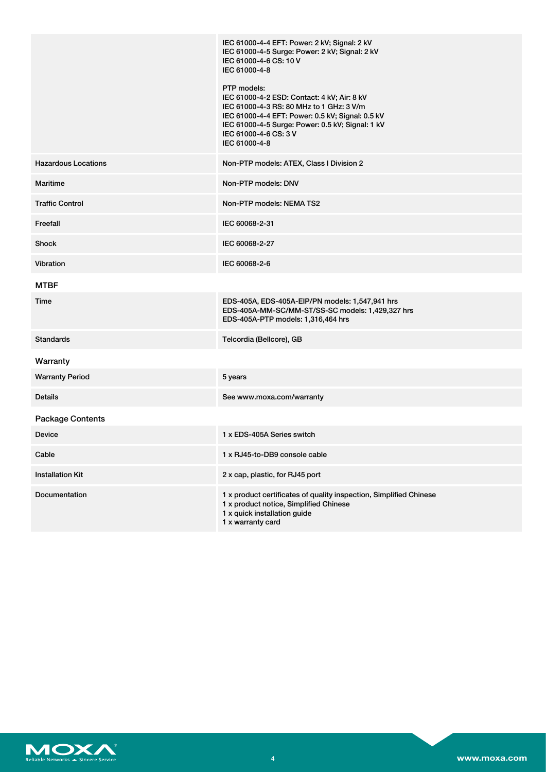|                            | IEC 61000-4-4 EFT: Power: 2 kV; Signal: 2 kV<br>IEC 61000-4-5 Surge: Power: 2 kV; Signal: 2 kV<br>IEC 61000-4-6 CS: 10 V<br>IEC 61000-4-8<br>PTP models:<br>IEC 61000-4-2 ESD: Contact: 4 kV; Air: 8 kV<br>IEC 61000-4-3 RS: 80 MHz to 1 GHz: 3 V/m<br>IEC 61000-4-4 EFT: Power: 0.5 kV; Signal: 0.5 kV<br>IEC 61000-4-5 Surge: Power: 0.5 kV; Signal: 1 kV<br>IEC 61000-4-6 CS: 3 V<br>IEC 61000-4-8 |
|----------------------------|-------------------------------------------------------------------------------------------------------------------------------------------------------------------------------------------------------------------------------------------------------------------------------------------------------------------------------------------------------------------------------------------------------|
| <b>Hazardous Locations</b> | Non-PTP models: ATEX, Class I Division 2                                                                                                                                                                                                                                                                                                                                                              |
| <b>Maritime</b>            | Non-PTP models: DNV                                                                                                                                                                                                                                                                                                                                                                                   |
| <b>Traffic Control</b>     | Non-PTP models: NEMA TS2                                                                                                                                                                                                                                                                                                                                                                              |
| Freefall                   | IEC 60068-2-31                                                                                                                                                                                                                                                                                                                                                                                        |
| <b>Shock</b>               | IEC 60068-2-27                                                                                                                                                                                                                                                                                                                                                                                        |
| Vibration                  | IEC 60068-2-6                                                                                                                                                                                                                                                                                                                                                                                         |
| <b>MTBF</b>                |                                                                                                                                                                                                                                                                                                                                                                                                       |
| Time                       | EDS-405A, EDS-405A-EIP/PN models: 1,547,941 hrs<br>EDS-405A-MM-SC/MM-ST/SS-SC models: 1,429,327 hrs<br>EDS-405A-PTP models: 1,316,464 hrs                                                                                                                                                                                                                                                             |
| <b>Standards</b>           | Telcordia (Bellcore), GB                                                                                                                                                                                                                                                                                                                                                                              |
| Warranty                   |                                                                                                                                                                                                                                                                                                                                                                                                       |
| <b>Warranty Period</b>     | 5 years                                                                                                                                                                                                                                                                                                                                                                                               |
| Details                    | See www.moxa.com/warranty                                                                                                                                                                                                                                                                                                                                                                             |
| <b>Package Contents</b>    |                                                                                                                                                                                                                                                                                                                                                                                                       |
| <b>Device</b>              | 1 x EDS-405A Series switch                                                                                                                                                                                                                                                                                                                                                                            |
| Cable                      | 1 x RJ45-to-DB9 console cable                                                                                                                                                                                                                                                                                                                                                                         |
| <b>Installation Kit</b>    | 2 x cap, plastic, for RJ45 port                                                                                                                                                                                                                                                                                                                                                                       |
| Documentation              | 1 x product certificates of quality inspection, Simplified Chinese<br>1 x product notice, Simplified Chinese<br>1 x quick installation guide<br>1 x warranty card                                                                                                                                                                                                                                     |

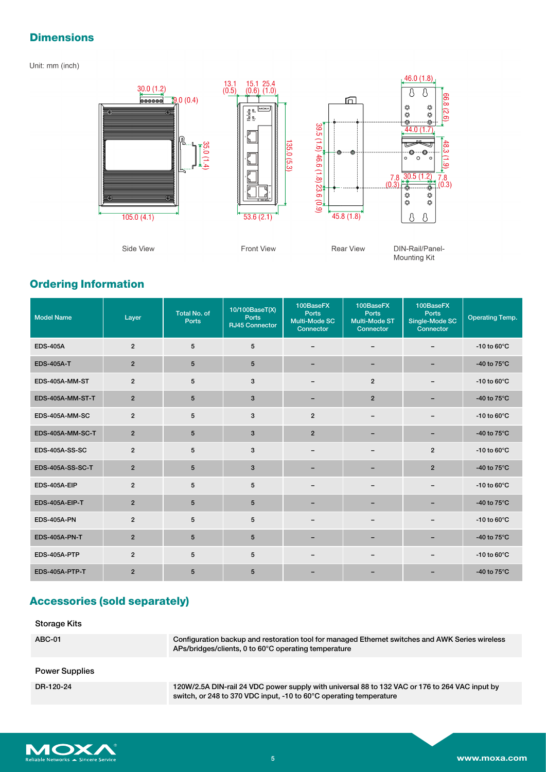# **Dimensions**

#### Unit: mm (inch)



# **Ordering Information**

| <b>Model Name</b>       | Layer          | <b>Total No. of</b><br>Ports | 10/100BaseT(X)<br><b>Ports</b><br><b>RJ45 Connector</b> | 100BaseFX<br><b>Ports</b><br>Multi-Mode SC<br>Connector | 100BaseFX<br><b>Ports</b><br>Multi-Mode ST<br>Connector | 100BaseFX<br><b>Ports</b><br>Single-Mode SC<br>Connector | <b>Operating Temp.</b> |
|-------------------------|----------------|------------------------------|---------------------------------------------------------|---------------------------------------------------------|---------------------------------------------------------|----------------------------------------------------------|------------------------|
| <b>EDS-405A</b>         | $\overline{2}$ | 5                            | 5                                                       | $\qquad \qquad$                                         |                                                         |                                                          | -10 to $60^{\circ}$ C  |
| <b>EDS-405A-T</b>       | $\overline{2}$ | 5                            | 5                                                       |                                                         |                                                         |                                                          | -40 to $75^{\circ}$ C  |
| EDS-405A-MM-ST          | $\overline{2}$ | $5\phantom{.0}$              | 3                                                       |                                                         | $\overline{2}$                                          | $\qquad \qquad \blacksquare$                             | -10 to $60^{\circ}$ C  |
| EDS-405A-MM-ST-T        | $\overline{2}$ | 5                            | 3                                                       | $\overline{\phantom{0}}$                                | $\overline{2}$                                          |                                                          | -40 to $75^{\circ}$ C  |
| EDS-405A-MM-SC          | $\overline{2}$ | 5                            | 3                                                       | $\overline{2}$                                          |                                                         | $\overline{\phantom{0}}$                                 | -10 to $60^{\circ}$ C  |
| EDS-405A-MM-SC-T        | $\overline{2}$ | $5\phantom{.0}$              | $\mathbf{3}$                                            | $\overline{2}$                                          | -                                                       | -                                                        | -40 to $75^{\circ}$ C  |
| <b>EDS-405A-SS-SC</b>   | $\overline{2}$ | 5                            | 3                                                       | -                                                       |                                                         | $\overline{2}$                                           | -10 to $60^{\circ}$ C  |
| <b>EDS-405A-SS-SC-T</b> | $\overline{2}$ | $5\phantom{.0}$              | 3                                                       | -                                                       | -                                                       | $\overline{2}$                                           | -40 to $75^{\circ}$ C  |
| EDS-405A-EIP            | $\overline{2}$ | 5                            | 5                                                       |                                                         | -                                                       |                                                          | -10 to $60^{\circ}$ C  |
| EDS-405A-EIP-T          | $\overline{2}$ | $5\phantom{.0}$              | 5                                                       |                                                         |                                                         |                                                          | -40 to 75°C            |
| <b>EDS-405A-PN</b>      | $\overline{2}$ | 5                            | 5                                                       | $\overline{\phantom{0}}$                                |                                                         | $\overline{\phantom{m}}$                                 | -10 to $60^{\circ}$ C  |
| <b>EDS-405A-PN-T</b>    | $\overline{2}$ | $5\phantom{.0}$              | 5                                                       |                                                         |                                                         |                                                          | -40 to $75^{\circ}$ C  |
| EDS-405A-PTP            | $\overline{2}$ | 5                            | 5                                                       | -                                                       |                                                         |                                                          | -10 to $60^{\circ}$ C  |
| EDS-405A-PTP-T          | $\overline{2}$ | 5                            | 5                                                       |                                                         |                                                         |                                                          | -40 to $75^{\circ}$ C  |

# **Accessories (sold separately)**

| <b>Storage Kits</b>   |                                                                                                                                                                      |
|-----------------------|----------------------------------------------------------------------------------------------------------------------------------------------------------------------|
| ABC-01                | Configuration backup and restoration tool for managed Ethernet switches and AWK Series wireless<br>APs/bridges/clients, 0 to 60°C operating temperature              |
| <b>Power Supplies</b> |                                                                                                                                                                      |
| DR-120-24             | 120W/2.5A DIN-rail 24 VDC power supply with universal 88 to 132 VAC or 176 to 264 VAC input by<br>switch, or 248 to 370 VDC input, -10 to 60°C operating temperature |